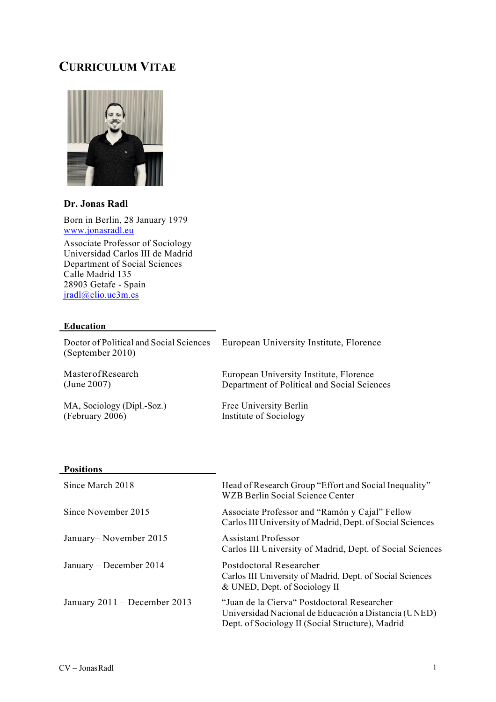# **CURRICULUM VITAE**



# **Dr. Jonas Radl**

Born in Berlin, 28 January 1979 www.jonasradl.eu

Associate Professor of Sociology Universidad Carlos III de Madrid Department of Social Sciences Calle Madrid 135 28903 Getafe - Spain jradl@clio.uc3m.es

# **Education**

Doctor of Political and Social Sciences (September 2010) MasterofResearch European University Institute, Florence European University Institute, Florence

(June 2007)

MA, Sociology (Dipl.-Soz.) (February 2006)

Free University Berlin Institute of Sociology

Department of Political and Social Sciences

#### **Positions**

| Since March 2018               | Head of Research Group "Effort and Social Inequality"<br><b>WZB Berlin Social Science Center</b>                                                        |
|--------------------------------|---------------------------------------------------------------------------------------------------------------------------------------------------------|
| Since November 2015            | Associate Professor and "Ramón y Cajal" Fellow<br>Carlos III University of Madrid, Dept. of Social Sciences                                             |
| January–November 2015          | <b>Assistant Professor</b><br>Carlos III University of Madrid, Dept. of Social Sciences                                                                 |
| January – December 2014        | Postdoctoral Researcher<br>Carlos III University of Madrid, Dept. of Social Sciences<br>& UNED, Dept. of Sociology II                                   |
| January $2011 -$ December 2013 | "Juan de la Cierva" Postdoctoral Researcher<br>Universidad Nacional de Educación a Distancia (UNED)<br>Dept. of Sociology II (Social Structure), Madrid |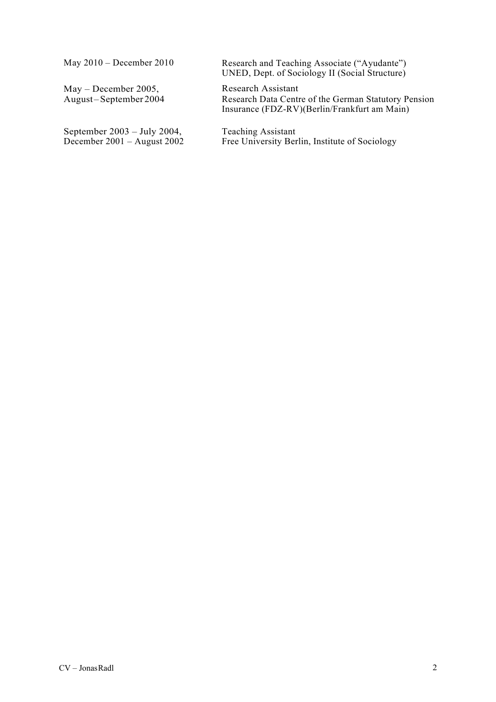May 2010 – December 2010

May – December 2005, August –September 2004

September 2003 – July 2004, December 2001 – August 2002 Research and Teaching Associate ("Ayudante") UNED, Dept. of Sociology II (Social Structure)

Research Assistant Research Data Centre of the German Statutory Pension Insurance (FDZ-RV)(Berlin/Frankfurt am Main)

Teaching Assistant Free University Berlin, Institute of Sociology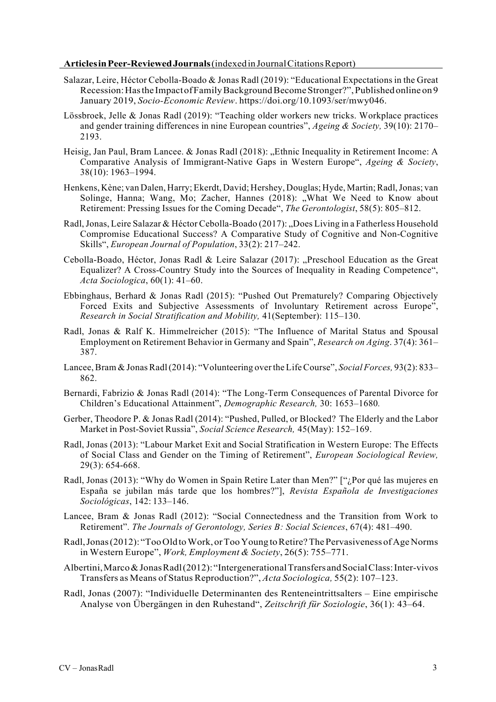#### **ArticlesinPeer-ReviewedJournals**(indexedinJournalCitationsReport)

- Salazar, Leire, Héctor Cebolla-Boado & Jonas Radl (2019): "Educational Expectations in the Great Recession:Hasthe ImpactofFamilyBackgroundBecomeStronger?",Published online on 9 January 2019, *Socio-Economic Review*. https://doi.org/10.1093/ser/mwy046.
- Lössbroek, Jelle & Jonas Radl (2019): "Teaching older workers new tricks. Workplace practices and gender training differences in nine European countries", *Ageing & Society,* 39(10): 2170– 2193.
- Heisig, Jan Paul, Bram Lancee. & Jonas Radl (2018): ...Ethnic Inequality in Retirement Income: A Comparative Analysis of Immigrant-Native Gaps in Western Europe", *Ageing & Society*, 38(10): 1963–1994.
- Henkens, Kène; van Dalen, Harry; Ekerdt, David; Hershey, Douglas; Hyde, Martin;Radl,Jonas; van Solinge, Hanna; Wang, Mo; Zacher, Hannes (2018): "What We Need to Know about Retirement: Pressing Issues for the Coming Decade", *The Gerontologist*, 58(5): 805–812.
- Radl, Jonas, Leire Salazar & Héctor Cebolla-Boado (2017): "Does Living in a Fatherless Household Compromise Educational Success? A Comparative Study of Cognitive and Non-Cognitive Skills", *European Journal of Population*, 33(2): 217–242.
- Cebolla-Boado, Héctor, Jonas Radl & Leire Salazar (2017): "Preschool Education as the Great Equalizer? A Cross-Country Study into the Sources of Inequality in Reading Competence", *Acta Sociologica*, 60(1): 41–60.
- Ebbinghaus, Berhard & Jonas Radl (2015): "Pushed Out Prematurely? Comparing Objectively Forced Exits and Subjective Assessments of Involuntary Retirement across Europe", *Research in Social Stratification and Mobility,* 41(September): 115–130.
- Radl, Jonas & Ralf K. Himmelreicher (2015): "The Influence of Marital Status and Spousal Employment on Retirement Behavior in Germany and Spain", *Research on Aging*. 37(4): 361– 387.
- Lancee, Bram & Jonas Radl(2014): "Volunteering over the Life Course", *Social Forces*, 93(2): 833– 862.
- Bernardi, Fabrizio & Jonas Radl (2014): "The Long-Term Consequences of Parental Divorce for Children's Educational Attainment", *Demographic Research,* 30: 1653–1680*.*
- Gerber, Theodore P. & Jonas Radl (2014): "Pushed, Pulled, or Blocked? The Elderly and the Labor Market in Post-Soviet Russia", *Social Science Research,* 45(May): 152–169.
- Radl, Jonas (2013): "Labour Market Exit and Social Stratification in Western Europe: The Effects of Social Class and Gender on the Timing of Retirement", *European Sociological Review,*  29(3): 654-668.
- Radl, Jonas (2013): "Why do Women in Spain Retire Later than Men?" ["¿Por qué las mujeres en España se jubilan más tarde que los hombres?"], *Revista Española de Investigaciones Sociológicas*, 142: 133–146.
- Lancee, Bram & Jonas Radl (2012): "Social Connectedness and the Transition from Work to Retirement". *The Journals of Gerontology, Series B: Social Sciences*, 67(4): 481–490.
- Radl, Jonas (2012): "Too Old to Work, or Too Young to Retire? The Pervasiveness of Age Norms in Western Europe", *Work, Employment & Society*, 26(5): 755–771.
- Albertini, Marco & Jonas Radl(2012): "Intergenerational Transfers and Social Class: Inter-vivos Transfers as Means of Status Reproduction?", *Acta Sociologica,* 55(2): 107–123.
- Radl, Jonas (2007): "Individuelle Determinanten des Renteneintrittsalters Eine empirische Analyse von Übergängen in den Ruhestand", *Zeitschrift für Soziologie*, 36(1): 43–64.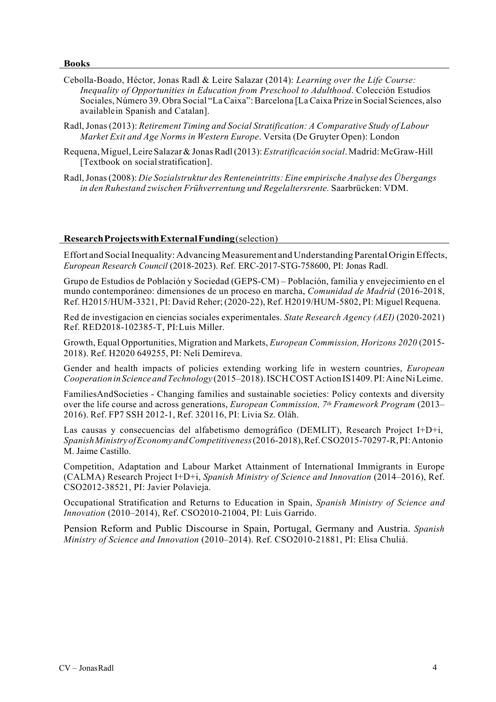#### **Books**

- Cebolla-Boado, Héctor, Jonas Radl & Leire Salazar (2014): *Learning over the Life Course: Inequality of Opportunities in Education from Preschool to Adulthood*. Colección Estudios Sociales, Número 39. Obra Social "LaCaixa":Barcelona [LaCaixa Prize in Social Sciences, also availablein Spanish and Catalan].
- Radl,Jonas (2013): *Retirement Timing and Social Stratification: A Comparative Study of Labour Market Exit and Age Norms in Western Europe*. Versita (De Gruyter Open): London
- Requena,Miguel,Leire Salazar& JonasRadl(2013):*Estratificación social*.Madrid:McGraw-Hill [Textbook on socialstratification].
- Radl,Jonas(2008): *Die Sozialstruktur des Renteneintritts: Eine empirische Analyse des Übergangs in den Ruhestand zwischen Frühverrentung und Regelaltersrente.* Saarbrücken: VDM.

### **ResearchProjectswithExternalFunding**(selection)

Effort and Social Inequality: Advancing Measurement and Understanding Parental Origin Effects, *European Research Council* (2018-2023). Ref. ERC-2017-STG-758600, PI: Jonas Radl.

Grupo de Estudios de Población y Sociedad (GEPS-CM) – Población, familia y envejecimiento en el mundo contemporáneo: dimensiones de un proceso en marcha, *Comunidad de Madrid* (2016-2018, Ref. H2015/HUM-3321, PI: David Reher; (2020-22), Ref. H2019/HUM-5802, PI: Miguel Requena.

Red de investigacion en ciencias sociales experimentales. *State Research Agency (AEI)* (2020-2021) Ref. RED2018-102385-T, PI:Luis Miller.

Growth, Equal Opportunities, Migration and Markets, *European Commission, Horizons 2020* (2015- 2018). Ref. H2020 649255, PI: Neli Demireva.

Gender and health impacts of policies extending working life in western countries, *European Cooperation in Science andTechnology* (2015–2018).ISCHCOSTAction IS1409.PI:AineNiLeime.

FamiliesAndSocieties - Changing families and sustainable societies: Policy contexts and diversity over the life course and across generations, *European Commission, 7th Framework Program* (2013– 2016). Ref. FP7 SSH 2012-1, Ref. 320116, PI: Livia Sz. Oláh.

Las causas y consecuencias del alfabetismo demográfico (DEMLIT), Research Project I+D+i, *SpanishMinistryofEconomyandCompetitiveness*(2016-2018),Ref.CSO2015-70297-R,PI:Antonio M. Jaime Castillo.

Competition, Adaptation and Labour Market Attainment of International Immigrants in Europe (CALMA) Research Project I+D+i, *Spanish Ministry of Science and Innovation* (2014–2016), Ref. CSO2012-38521, PI: Javier Polavieja.

Occupational Stratification and Returns to Education in Spain, *Spanish Ministry of Science and Innovation* (2010–2014), Ref. CSO2010-21004, PI: Luis Garrido.

Pension Reform and Public Discourse in Spain, Portugal, Germany and Austria. *Spanish Ministry of Science and Innovation* (2010–2014). Ref. CSO2010-21881, PI: Elisa Chuliá.